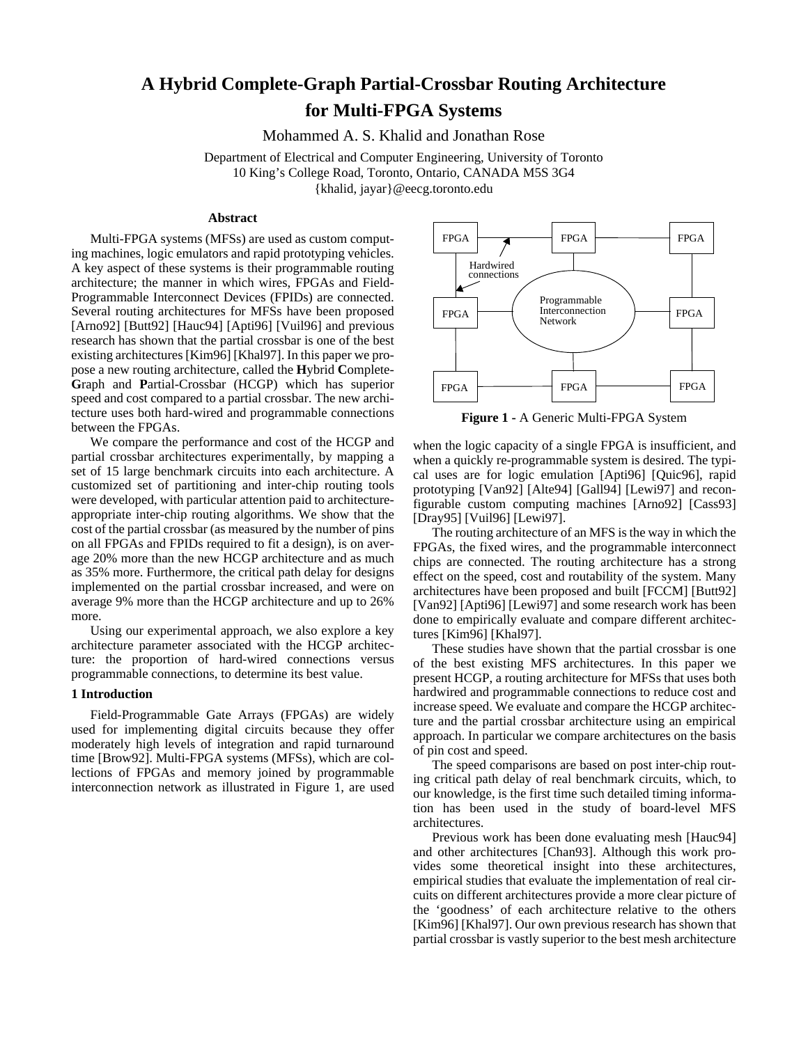# **A Hybrid Complete-Graph Partial-Crossbar Routing Architecture for Multi-FPGA Systems**

Mohammed A. S. Khalid and Jonathan Rose

Department of Electrical and Computer Engineering, University of Toronto 10 King's College Road, Toronto, Ontario, CANADA M5S 3G4 {khalid, jayar}@eecg.toronto.edu

## **Abstract**

Multi-FPGA systems (MFSs) are used as custom computing machines, logic emulators and rapid prototyping vehicles. A key aspect of these systems is their programmable routing architecture; the manner in which wires, FPGAs and Field-Programmable Interconnect Devices (FPIDs) are connected. Several routing architectures for MFSs have been proposed [Arno92] [Butt92] [Hauc94] [Apti96] [Vuil96] and previous research has shown that the partial crossbar is one of the best existing architectures [Kim96] [Khal97]. In this paper we propose a new routing architecture, called the **H**ybrid **C**omplete-**G**raph and **P**artial-Crossbar (HCGP) which has superior speed and cost compared to a partial crossbar. The new architecture uses both hard-wired and programmable connections between the FPGAs.

We compare the performance and cost of the HCGP and partial crossbar architectures experimentally, by mapping a set of 15 large benchmark circuits into each architecture. A customized set of partitioning and inter-chip routing tools were developed, with particular attention paid to architectureappropriate inter-chip routing algorithms. We show that the cost of the partial crossbar (as measured by the number of pins on all FPGAs and FPIDs required to fit a design), is on average 20% more than the new HCGP architecture and as much as 35% more. Furthermore, the critical path delay for designs implemented on the partial crossbar increased, and were on average 9% more than the HCGP architecture and up to 26% more.

Using our experimental approach, we also explore a key architecture parameter associated with the HCGP architecture: the proportion of hard-wired connections versus programmable connections, to determine its best value.

#### **1 Introduction**

Field-Programmable Gate Arrays (FPGAs) are widely used for implementing digital circuits because they offer moderately high levels of integration and rapid turnaround time [Brow92]. Multi-FPGA systems (MFSs), which are collections of FPGAs and memory joined by programmable interconnection network as illustrated in Figure 1, are used



**Figure 1 -** A Generic Multi-FPGA System

when the logic capacity of a single FPGA is insufficient, and when a quickly re-programmable system is desired. The typical uses are for logic emulation [Apti96] [Quic96], rapid prototyping [Van92] [Alte94] [Gall94] [Lewi97] and reconfigurable custom computing machines [Arno92] [Cass93] [Dray95] [Vuil96] [Lewi97].

The routing architecture of an MFS is the way in which the FPGAs, the fixed wires, and the programmable interconnect chips are connected. The routing architecture has a strong effect on the speed, cost and routability of the system. Many architectures have been proposed and built [FCCM] [Butt92] [Van92] [Apti96] [Lewi97] and some research work has been done to empirically evaluate and compare different architectures [Kim96] [Khal97].

These studies have shown that the partial crossbar is one of the best existing MFS architectures. In this paper we present HCGP, a routing architecture for MFSs that uses both hardwired and programmable connections to reduce cost and increase speed. We evaluate and compare the HCGP architecture and the partial crossbar architecture using an empirical approach. In particular we compare architectures on the basis of pin cost and speed.

The speed comparisons are based on post inter-chip routing critical path delay of real benchmark circuits, which, to our knowledge, is the first time such detailed timing information has been used in the study of board-level MFS architectures.

Previous work has been done evaluating mesh [Hauc94] and other architectures [Chan93]. Although this work provides some theoretical insight into these architectures, empirical studies that evaluate the implementation of real circuits on different architectures provide a more clear picture of the 'goodness' of each architecture relative to the others [Kim96] [Khal97]. Our own previous research has shown that partial crossbar is vastly superior to the best mesh architecture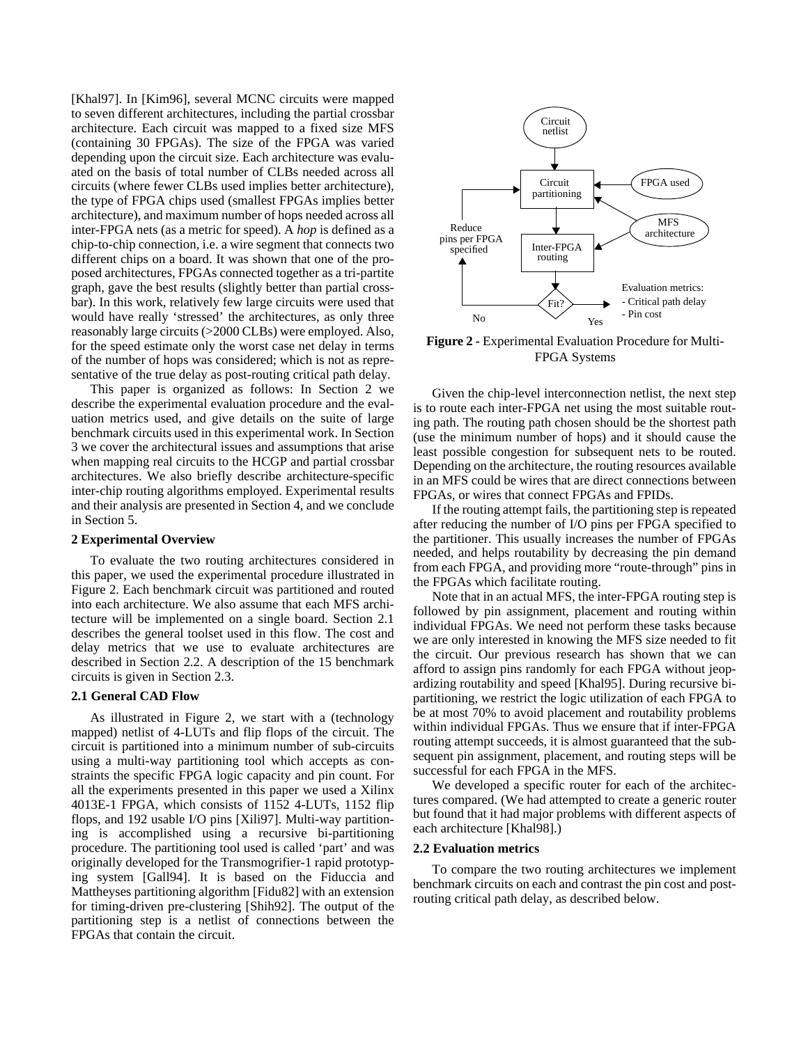[Khal97]. In [Kim96], several MCNC circuits were mapped to seven different architectures, including the partial crossbar architecture. Each circuit was mapped to a fixed size MFS (containing 30 FPGAs). The size of the FPGA was varied depending upon the circuit size. Each architecture was evaluated on the basis of total number of CLBs needed across all circuits (where fewer CLBs used implies better architecture), the type of FPGA chips used (smallest FPGAs implies better architecture), and maximum number of hops needed across all inter-FPGA nets (as a metric for speed). A *hop* is defined as a chip-to-chip connection, i.e. a wire segment that connects two different chips on a board. It was shown that one of the proposed architectures, FPGAs connected together as a tri-partite graph, gave the best results (slightly better than partial crossbar). In this work, relatively few large circuits were used that would have really 'stressed' the architectures, as only three reasonably large circuits (>2000 CLBs) were employed. Also, for the speed estimate only the worst case net delay in terms of the number of hops was considered; which is not as representative of the true delay as post-routing critical path delay.

This paper is organized as follows: In Section 2 we describe the experimental evaluation procedure and the evaluation metrics used, and give details on the suite of large benchmark circuits used in this experimental work. In Section 3 we cover the architectural issues and assumptions that arise when mapping real circuits to the HCGP and partial crossbar architectures. We also briefly describe architecture-specific inter-chip routing algorithms employed. Experimental results and their analysis are presented in Section 4, and we conclude in Section 5.

#### **2 Experimental Overview**

To evaluate the two routing architectures considered in this paper, we used the experimental procedure illustrated in Figure 2. Each benchmark circuit was partitioned and routed into each architecture. We also assume that each MFS architecture will be implemented on a single board. Section 2.1 describes the general toolset used in this flow. The cost and delay metrics that we use to evaluate architectures are described in Section 2.2. A description of the 15 benchmark circuits is given in Section 2.3.

## **2.1 General CAD Flow**

As illustrated in Figure 2, we start with a (technology mapped) netlist of 4-LUTs and flip flops of the circuit. The circuit is partitioned into a minimum number of sub-circuits using a multi-way partitioning tool which accepts as constraints the specific FPGA logic capacity and pin count. For all the experiments presented in this paper we used a Xilinx 4013E-1 FPGA, which consists of 1152 4-LUTs, 1152 flip flops, and 192 usable I/O pins [Xili97]. Multi-way partitioning is accomplished using a recursive bi-partitioning procedure. The partitioning tool used is called 'part' and was originally developed for the Transmogrifier-1 rapid prototyping system [Gall94]. It is based on the Fiduccia and Mattheyses partitioning algorithm [Fidu82] with an extension for timing-driven pre-clustering [Shih92]. The output of the partitioning step is a netlist of connections between the FPGAs that contain the circuit.



**Figure 2 -** Experimental Evaluation Procedure for Multi-FPGA Systems

Given the chip-level interconnection netlist, the next step is to route each inter-FPGA net using the most suitable routing path. The routing path chosen should be the shortest path (use the minimum number of hops) and it should cause the least possible congestion for subsequent nets to be routed. Depending on the architecture, the routing resources available in an MFS could be wires that are direct connections between FPGAs, or wires that connect FPGAs and FPIDs.

If the routing attempt fails, the partitioning step is repeated after reducing the number of I/O pins per FPGA specified to the partitioner. This usually increases the number of FPGAs needed, and helps routability by decreasing the pin demand from each FPGA, and providing more "route-through" pins in the FPGAs which facilitate routing.

Note that in an actual MFS, the inter-FPGA routing step is followed by pin assignment, placement and routing within individual FPGAs. We need not perform these tasks because we are only interested in knowing the MFS size needed to fit the circuit. Our previous research has shown that we can afford to assign pins randomly for each FPGA without jeopardizing routability and speed [Khal95]. During recursive bipartitioning, we restrict the logic utilization of each FPGA to be at most 70% to avoid placement and routability problems within individual FPGAs. Thus we ensure that if inter-FPGA routing attempt succeeds, it is almost guaranteed that the subsequent pin assignment, placement, and routing steps will be successful for each FPGA in the MFS.

We developed a specific router for each of the architectures compared. (We had attempted to create a generic router but found that it had major problems with different aspects of each architecture [Khal98].)

## **2.2 Evaluation metrics**

To compare the two routing architectures we implement benchmark circuits on each and contrast the pin cost and postrouting critical path delay, as described below.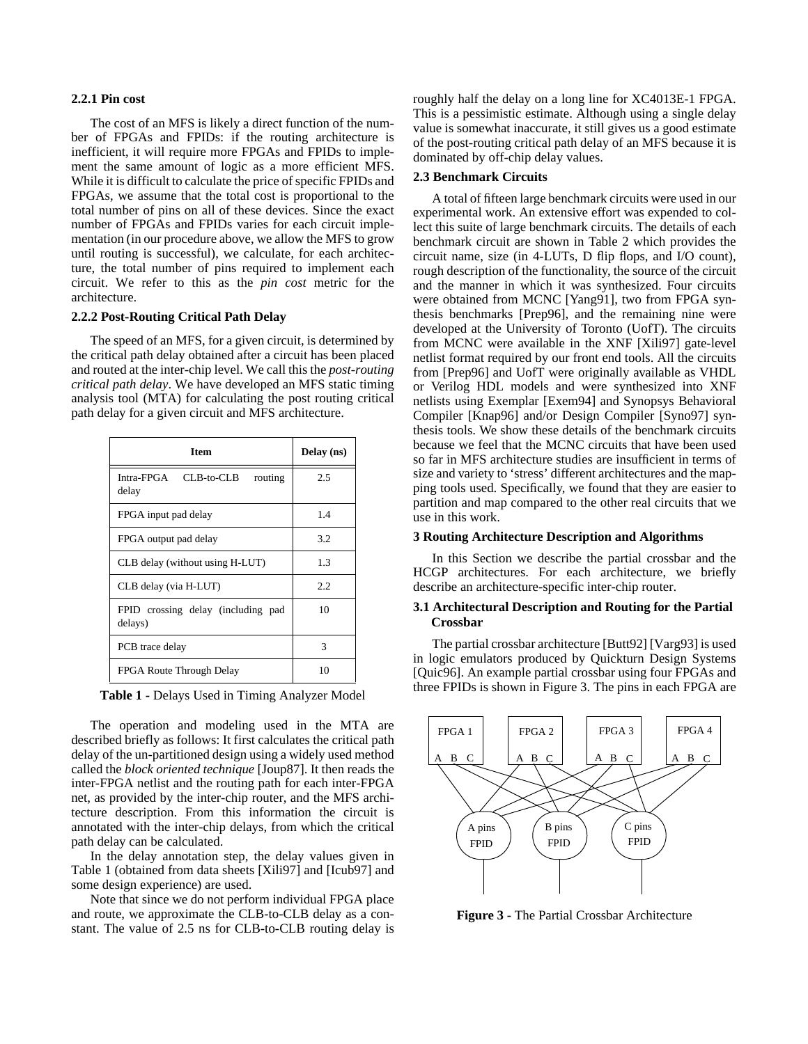## **2.2.1 Pin cost**

The cost of an MFS is likely a direct function of the number of FPGAs and FPIDs: if the routing architecture is inefficient, it will require more FPGAs and FPIDs to implement the same amount of logic as a more efficient MFS. While it is difficult to calculate the price of specific FPIDs and FPGAs, we assume that the total cost is proportional to the total number of pins on all of these devices. Since the exact number of FPGAs and FPIDs varies for each circuit implementation (in our procedure above, we allow the MFS to grow until routing is successful), we calculate, for each architecture, the total number of pins required to implement each circuit. We refer to this as the *pin cost* metric for the architecture.

## **2.2.2 Post-Routing Critical Path Delay**

The speed of an MFS, for a given circuit, is determined by the critical path delay obtained after a circuit has been placed and routed at the inter-chip level. We call this the *post-routing critical path delay*. We have developed an MFS static timing analysis tool (MTA) for calculating the post routing critical path delay for a given circuit and MFS architecture.

| <b>Item</b>                                   | Delay (ns)    |  |
|-----------------------------------------------|---------------|--|
| Intra-FPGA<br>CLB-to-CLB<br>routing<br>delay  | 2.5           |  |
| FPGA input pad delay                          | 1.4           |  |
| FPGA output pad delay                         | 3.2           |  |
| CLB delay (without using H-LUT)               | 1.3           |  |
| CLB delay (via H-LUT)                         | 2.2           |  |
| FPID crossing delay (including pad<br>delays) | 10            |  |
| PCB trace delay                               | $\mathcal{R}$ |  |
| FPGA Route Through Delay                      | 10            |  |

**Table 1 -** Delays Used in Timing Analyzer Model

The operation and modeling used in the MTA are described briefly as follows: It first calculates the critical path delay of the un-partitioned design using a widely used method called the *block oriented technique* [Joup87]. It then reads the inter-FPGA netlist and the routing path for each inter-FPGA net, as provided by the inter-chip router, and the MFS architecture description. From this information the circuit is annotated with the inter-chip delays, from which the critical path delay can be calculated.

In the delay annotation step, the delay values given in Table 1 (obtained from data sheets [Xili97] and [Icub97] and some design experience) are used.

Note that since we do not perform individual FPGA place and route, we approximate the CLB-to-CLB delay as a constant. The value of 2.5 ns for CLB-to-CLB routing delay is

roughly half the delay on a long line for XC4013E-1 FPGA. This is a pessimistic estimate. Although using a single delay value is somewhat inaccurate, it still gives us a good estimate of the post-routing critical path delay of an MFS because it is dominated by off-chip delay values.

#### **2.3 Benchmark Circuits**

A total of fifteen large benchmark circuits were used in our experimental work. An extensive effort was expended to collect this suite of large benchmark circuits. The details of each benchmark circuit are shown in Table 2 which provides the circuit name, size (in 4-LUTs, D flip flops, and I/O count), rough description of the functionality, the source of the circuit and the manner in which it was synthesized. Four circuits were obtained from MCNC [Yang91], two from FPGA synthesis benchmarks [Prep96], and the remaining nine were developed at the University of Toronto (UofT). The circuits from MCNC were available in the XNF [Xili97] gate-level netlist format required by our front end tools. All the circuits from [Prep96] and UofT were originally available as VHDL or Verilog HDL models and were synthesized into XNF netlists using Exemplar [Exem94] and Synopsys Behavioral Compiler [Knap96] and/or Design Compiler [Syno97] synthesis tools. We show these details of the benchmark circuits because we feel that the MCNC circuits that have been used so far in MFS architecture studies are insufficient in terms of size and variety to 'stress' different architectures and the mapping tools used. Specifically, we found that they are easier to partition and map compared to the other real circuits that we use in this work.

## **3 Routing Architecture Description and Algorithms**

In this Section we describe the partial crossbar and the HCGP architectures. For each architecture, we briefly describe an architecture-specific inter-chip router.

## **3.1 Architectural Description and Routing for the Partial Crossbar**

The partial crossbar architecture [Butt92] [Varg93] is used in logic emulators produced by Quickturn Design Systems [Quic96]. An example partial crossbar using four FPGAs and three FPIDs is shown in Figure 3. The pins in each FPGA are



**Figure 3 -** The Partial Crossbar Architecture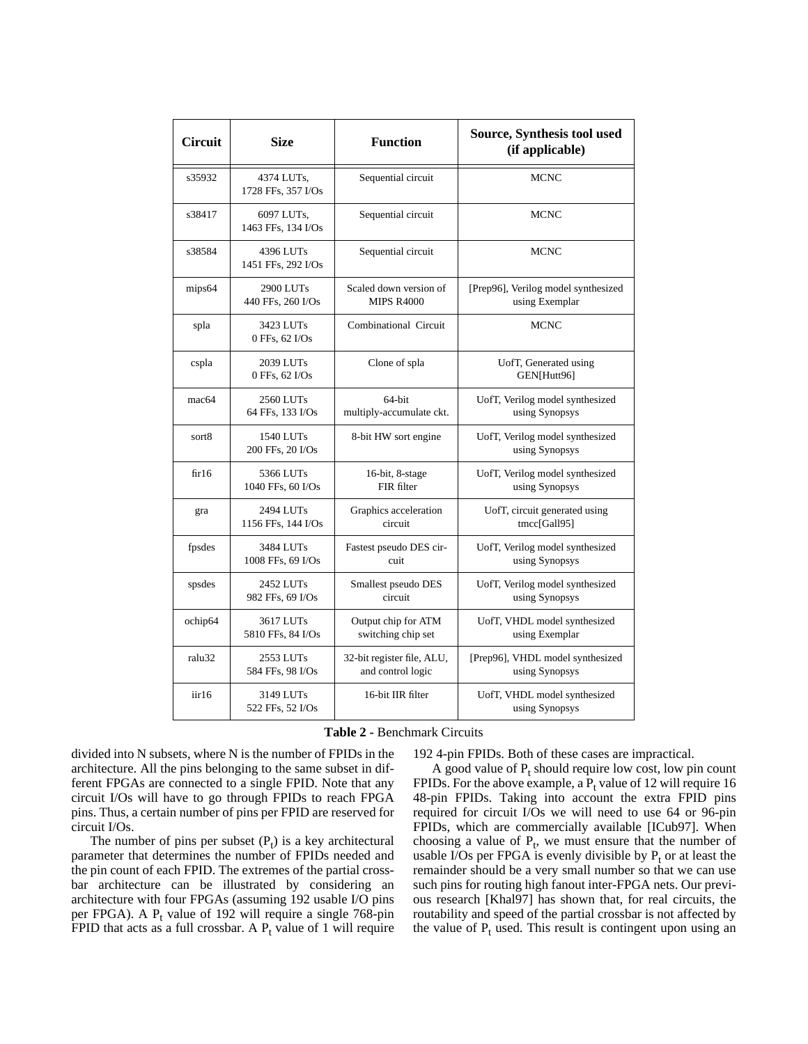| <b>Circuit</b>    | <b>Size</b>                      | <b>Function</b>            | Source, Synthesis tool used<br>(if applicable)    |
|-------------------|----------------------------------|----------------------------|---------------------------------------------------|
| s35932            | 4374 LUTs,<br>1728 FFs, 357 I/Os | Sequential circuit         | <b>MCNC</b>                                       |
| s38417            | 6097 LUTs,<br>1463 FFs, 134 I/Os | Sequential circuit         | <b>MCNC</b>                                       |
| s38584            | 4396 LUTs<br>1451 FFs, 292 I/Os  | Sequential circuit         | <b>MCNC</b>                                       |
| mips64            | 2900 LUTs                        | Scaled down version of     | [Prep96], Verilog model synthesized               |
|                   | 440 FFs, 260 I/Os                | <b>MIPS R4000</b>          | using Exemplar                                    |
| spla              | 3423 LUTs<br>0 FFs, 62 I/Os      | Combinational Circuit      | <b>MCNC</b>                                       |
| cspla             | 2039 LUTs<br>0 FFs, 62 I/Os      | Clone of spla              | UofT, Generated using<br>GEN[Hutt96]              |
| mac <sub>64</sub> | 2560 LUTs                        | 64-bit                     | UofT, Verilog model synthesized                   |
|                   | 64 FFs, 133 I/Os                 | multiply-accumulate ckt.   | using Synopsys                                    |
| sort8             | 1540 LUTs<br>200 FFs, 20 I/Os    | 8-bit HW sort engine       | UofT, Verilog model synthesized<br>using Synopsys |
| fir16             | 5366 LUTs                        | 16-bit, 8-stage            | UofT, Verilog model synthesized                   |
|                   | 1040 FFs, 60 I/Os                | FIR filter                 | using Synopsys                                    |
| gra               | 2494 LUTs                        | Graphics acceleration      | UofT, circuit generated using                     |
|                   | 1156 FFs, 144 I/Os               | circuit                    | tmcc[Gall95]                                      |
| fpsdes            | 3484 LUTs                        | Fastest pseudo DES cir-    | UofT, Verilog model synthesized                   |
|                   | 1008 FFs, 69 I/Os                | cuit                       | using Synopsys                                    |
| spsdes            | 2452 LUTs                        | Smallest pseudo DES        | UofT, Verilog model synthesized                   |
|                   | 982 FFs, 69 I/Os                 | circuit                    | using Synopsys                                    |
| ochip64           | 3617 LUTs                        | Output chip for ATM        | UofT, VHDL model synthesized                      |
|                   | 5810 FFs, 84 I/Os                | switching chip set         | using Exemplar                                    |
| ralu32            | 2553 LUTs                        | 32-bit register file, ALU, | [Prep96], VHDL model synthesized                  |
|                   | 584 FFs, 98 I/Os                 | and control logic          | using Synopsys                                    |
| iir16             | 3149 LUTs<br>522 FFs, 52 I/Os    | 16-bit IIR filter          | UofT, VHDL model synthesized<br>using Synopsys    |

**Table 2 -** Benchmark Circuits

divided into N subsets, where N is the number of FPIDs in the architecture. All the pins belonging to the same subset in different FPGAs are connected to a single FPID. Note that any circuit I/Os will have to go through FPIDs to reach FPGA pins. Thus, a certain number of pins per FPID are reserved for circuit I/Os.

The number of pins per subset  $(P_t)$  is a key architectural parameter that determines the number of FPIDs needed and the pin count of each FPID. The extremes of the partial crossbar architecture can be illustrated by considering an architecture with four FPGAs (assuming 192 usable I/O pins per FPGA). A  $P_t$  value of 192 will require a single 768-pin FPID that acts as a full crossbar. A  $P_t$  value of 1 will require

192 4-pin FPIDs. Both of these cases are impractical.

A good value of  $P_t$  should require low cost, low pin count FPIDs. For the above example, a  $P_t$  value of 12 will require 16 48-pin FPIDs. Taking into account the extra FPID pins required for circuit I/Os we will need to use 64 or 96-pin FPIDs, which are commercially available [ICub97]. When choosing a value of  $P_t$ , we must ensure that the number of usable I/Os per FPGA is evenly divisible by  $P_t$  or at least the remainder should be a very small number so that we can use such pins for routing high fanout inter-FPGA nets. Our previous research [Khal97] has shown that, for real circuits, the routability and speed of the partial crossbar is not affected by the value of  $P_t$  used. This result is contingent upon using an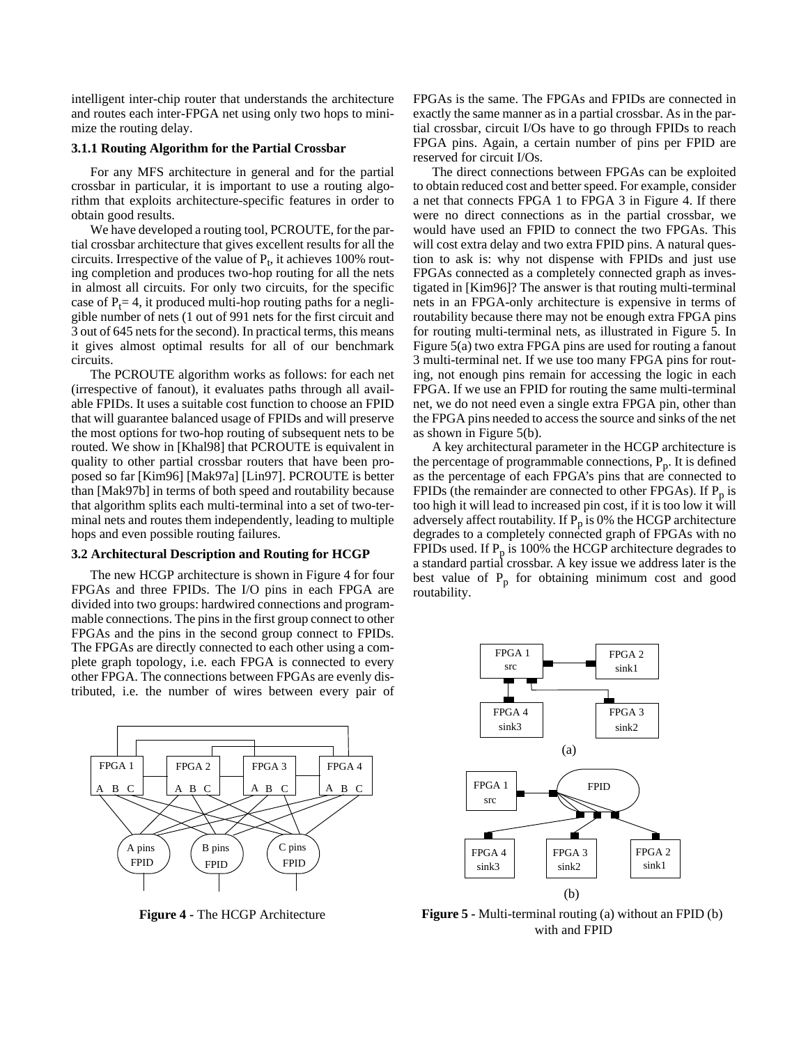intelligent inter-chip router that understands the architecture and routes each inter-FPGA net using only two hops to minimize the routing delay.

## **3.1.1 Routing Algorithm for the Partial Crossbar**

For any MFS architecture in general and for the partial crossbar in particular, it is important to use a routing algorithm that exploits architecture-specific features in order to obtain good results.

We have developed a routing tool, PCROUTE, for the partial crossbar architecture that gives excellent results for all the circuits. Irrespective of the value of  $P_t$ , it achieves 100% routing completion and produces two-hop routing for all the nets in almost all circuits. For only two circuits, for the specific case of  $P_t$  = 4, it produced multi-hop routing paths for a negligible number of nets (1 out of 991 nets for the first circuit and 3 out of 645 nets for the second). In practical terms, this means it gives almost optimal results for all of our benchmark circuits.

The PCROUTE algorithm works as follows: for each net (irrespective of fanout), it evaluates paths through all available FPIDs. It uses a suitable cost function to choose an FPID that will guarantee balanced usage of FPIDs and will preserve the most options for two-hop routing of subsequent nets to be routed. We show in [Khal98] that PCROUTE is equivalent in quality to other partial crossbar routers that have been proposed so far [Kim96] [Mak97a] [Lin97]. PCROUTE is better than [Mak97b] in terms of both speed and routability because that algorithm splits each multi-terminal into a set of two-terminal nets and routes them independently, leading to multiple hops and even possible routing failures.

## **3.2 Architectural Description and Routing for HCGP**

The new HCGP architecture is shown in Figure 4 for four FPGAs and three FPIDs. The I/O pins in each FPGA are divided into two groups: hardwired connections and programmable connections. The pins in the first group connect to other FPGAs and the pins in the second group connect to FPIDs. The FPGAs are directly connected to each other using a complete graph topology, i.e. each FPGA is connected to every other FPGA. The connections between FPGAs are evenly distributed, i.e. the number of wires between every pair of



**Figure 4 -** The HCGP Architecture

FPGAs is the same. The FPGAs and FPIDs are connected in exactly the same manner as in a partial crossbar. As in the partial crossbar, circuit I/Os have to go through FPIDs to reach FPGA pins. Again, a certain number of pins per FPID are reserved for circuit I/Os.

The direct connections between FPGAs can be exploited to obtain reduced cost and better speed. For example, consider a net that connects FPGA 1 to FPGA 3 in Figure 4. If there were no direct connections as in the partial crossbar, we would have used an FPID to connect the two FPGAs. This will cost extra delay and two extra FPID pins. A natural question to ask is: why not dispense with FPIDs and just use FPGAs connected as a completely connected graph as investigated in [Kim96]? The answer is that routing multi-terminal nets in an FPGA-only architecture is expensive in terms of routability because there may not be enough extra FPGA pins for routing multi-terminal nets, as illustrated in Figure 5. In Figure 5(a) two extra FPGA pins are used for routing a fanout 3 multi-terminal net. If we use too many FPGA pins for routing, not enough pins remain for accessing the logic in each FPGA. If we use an FPID for routing the same multi-terminal net, we do not need even a single extra FPGA pin, other than the FPGA pins needed to access the source and sinks of the net as shown in Figure 5(b).

A key architectural parameter in the HCGP architecture is the percentage of programmable connections,  $P_p$ . It is defined as the percentage of each FPGA's pins that are connected to FPIDs (the remainder are connected to other FPGAs). If  $P_p$  is too high it will lead to increased pin cost, if it is too low it will adversely affect routability. If  $P_p$  is 0% the HCGP architecture degrades to a completely connected graph of FPGAs with no FPIDs used. If  $P_p$  is 100% the HCGP architecture degrades to a standard partial crossbar. A key issue we address later is the best value of  $P_p$  for obtaining minimum cost and good routability.



**Figure 5 -** Multi-terminal routing (a) without an FPID (b) with and FPID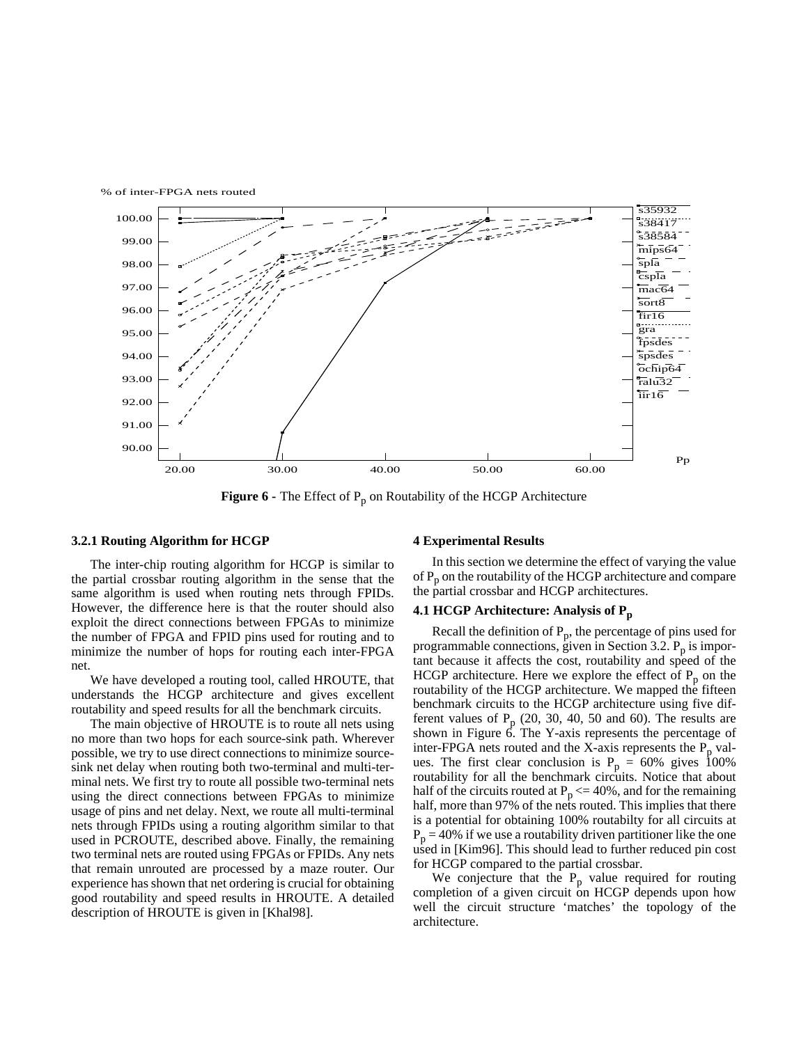

**Figure 6 -** The Effect of P<sub>p</sub> on Routability of the HCGP Architecture

#### **3.2.1 Routing Algorithm for HCGP**

The inter-chip routing algorithm for HCGP is similar to the partial crossbar routing algorithm in the sense that the same algorithm is used when routing nets through FPIDs. However, the difference here is that the router should also exploit the direct connections between FPGAs to minimize the number of FPGA and FPID pins used for routing and to minimize the number of hops for routing each inter-FPGA net.

We have developed a routing tool, called HROUTE, that understands the HCGP architecture and gives excellent routability and speed results for all the benchmark circuits.

The main objective of HROUTE is to route all nets using no more than two hops for each source-sink path. Wherever possible, we try to use direct connections to minimize sourcesink net delay when routing both two-terminal and multi-terminal nets. We first try to route all possible two-terminal nets using the direct connections between FPGAs to minimize usage of pins and net delay. Next, we route all multi-terminal nets through FPIDs using a routing algorithm similar to that used in PCROUTE, described above. Finally, the remaining two terminal nets are routed using FPGAs or FPIDs. Any nets that remain unrouted are processed by a maze router. Our experience has shown that net ordering is crucial for obtaining good routability and speed results in HROUTE. A detailed description of HROUTE is given in [Khal98].

#### **4 Experimental Results**

In this section we determine the effect of varying the value of P<sub>p</sub> on the routability of the HCGP architecture and compare the partial crossbar and HCGP architectures.

#### **4.1 HCGP Architecture: Analysis of P<sup>p</sup>**

Recall the definition of  $P_p$ , the percentage of pins used for programmable connections, given in Section 3.2.  $P_p$  is important because it affects the cost, routability and speed of the HCGP architecture. Here we explore the effect of  $P_p$  on the routability of the HCGP architecture. We mapped the fifteen benchmark circuits to the HCGP architecture using five different values of  $P_p$  (20, 30, 40, 50 and 60). The results are shown in Figure 6. The Y-axis represents the percentage of inter-FPGA nets routed and the X-axis represents the  $P_p$  values. The first clear conclusion is  $P_p = 60\%$  gives 100% routability for all the benchmark circuits. Notice that about half of the circuits routed at  $P_p \le 40\%$ , and for the remaining half, more than 97% of the nets routed. This implies that there is a potential for obtaining 100% routabilty for all circuits at  $P_p = 40\%$  if we use a routability driven partitioner like the one used in [Kim96]. This should lead to further reduced pin cost for HCGP compared to the partial crossbar.

We conjecture that the  $P_p$  value required for routing completion of a given circuit on HCGP depends upon how well the circuit structure 'matches' the topology of the architecture.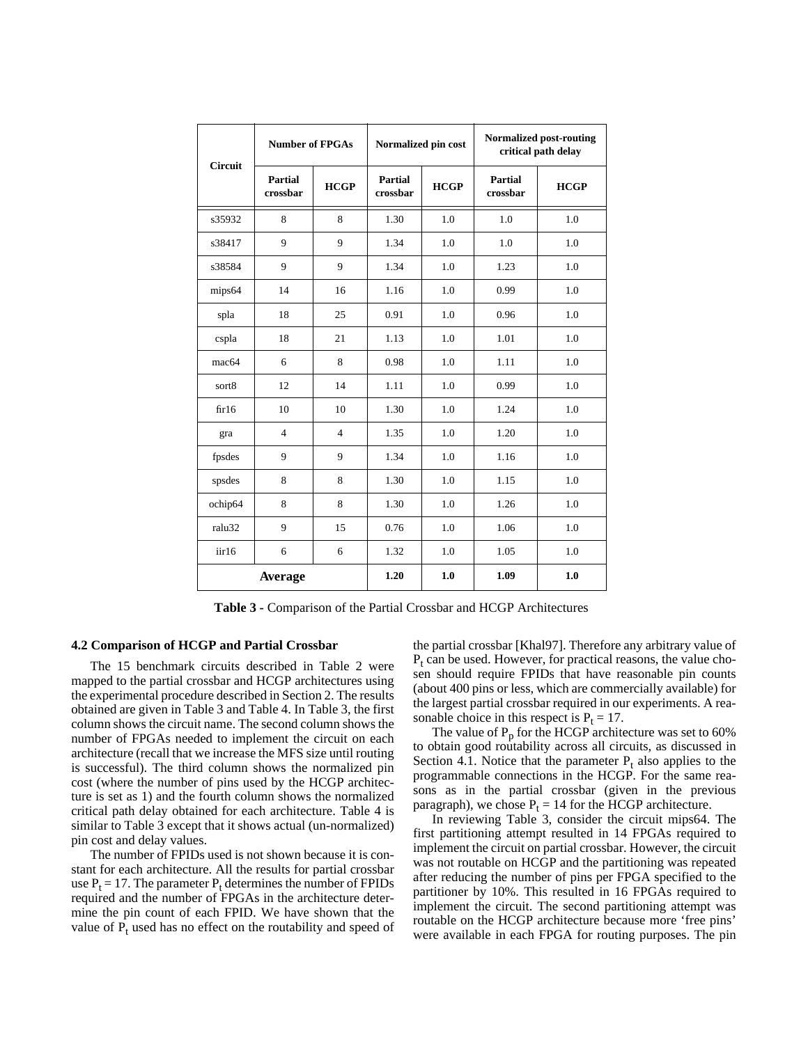| <b>Circuit</b>    | <b>Number of FPGAs</b>     |                | Normalized pin cost        |             | <b>Normalized post-routing</b><br>critical path delay |             |  |
|-------------------|----------------------------|----------------|----------------------------|-------------|-------------------------------------------------------|-------------|--|
|                   | <b>Partial</b><br>crossbar | <b>HCGP</b>    | <b>Partial</b><br>crossbar | <b>HCGP</b> | <b>Partial</b><br>crossbar                            | <b>HCGP</b> |  |
| s35932            | 8                          | 8              | 1.30                       | 1.0         | 1.0                                                   | 1.0         |  |
| s38417            | 9                          | 9              | 1.34                       | 1.0         | 1.0                                                   | 1.0         |  |
| s38584            | 9                          | 9              | 1.34                       | 1.0         | 1.23                                                  | 1.0         |  |
| mips64            | 14                         | 16             | 1.16                       | 1.0         | 0.99                                                  | 1.0         |  |
| spla              | 18                         | 25             | 0.91                       | 1.0         | 0.96                                                  | 1.0         |  |
| cspla             | 18                         | 21             | 1.13                       | 1.0         | 1.01                                                  | 1.0         |  |
| mac <sub>64</sub> | 6                          | 8              | 0.98                       | 1.0         | 1.11                                                  | 1.0         |  |
| sort8             | 12                         | 14             | 1.11                       | 1.0         | 0.99                                                  | 1.0         |  |
| fir16             | 10                         | 10             | 1.30                       | 1.0         | 1.24                                                  | 1.0         |  |
| gra               | $\overline{4}$             | $\overline{4}$ | 1.35                       | 1.0         | 1.20                                                  | 1.0         |  |
| fpsdes            | 9                          | 9              | 1.34                       | 1.0         | 1.16                                                  | 1.0         |  |
| spsdes            | 8                          | 8              | 1.30                       | 1.0         | 1.15                                                  | 1.0         |  |
| ochip64           | 8                          | 8              | 1.30                       | 1.0         | 1.26                                                  | 1.0         |  |
| ralu32            | 9                          | 15             | 0.76                       | 1.0         | 1.06                                                  | 1.0         |  |
| iir16             | 6                          | 6              | 1.32                       | 1.0         | 1.05                                                  | 1.0         |  |
| Average           |                            | 1.20           | 1.0                        | 1.09        | 1.0                                                   |             |  |

**Table 3 -** Comparison of the Partial Crossbar and HCGP Architectures

#### **4.2 Comparison of HCGP and Partial Crossbar**

The 15 benchmark circuits described in Table 2 were mapped to the partial crossbar and HCGP architectures using the experimental procedure described in Section 2. The results obtained are given in Table 3 and Table 4. In Table 3, the first column shows the circuit name. The second column shows the number of FPGAs needed to implement the circuit on each architecture (recall that we increase the MFS size until routing is successful). The third column shows the normalized pin cost (where the number of pins used by the HCGP architecture is set as 1) and the fourth column shows the normalized critical path delay obtained for each architecture. Table 4 is similar to Table 3 except that it shows actual (un-normalized) pin cost and delay values.

The number of FPIDs used is not shown because it is constant for each architecture. All the results for partial crossbar use  $P_t = 17$ . The parameter  $P_t$  determines the number of FPIDs required and the number of FPGAs in the architecture determine the pin count of each FPID. We have shown that the value of  $P_t$  used has no effect on the routability and speed of

the partial crossbar [Khal97]. Therefore any arbitrary value of  $P_t$  can be used. However, for practical reasons, the value chosen should require FPIDs that have reasonable pin counts (about 400 pins or less, which are commercially available) for the largest partial crossbar required in our experiments. A reasonable choice in this respect is  $P_t = 17$ .

The value of  $P_p$  for the HCGP architecture was set to 60% to obtain good routability across all circuits, as discussed in Section 4.1. Notice that the parameter  $P_t$  also applies to the programmable connections in the HCGP. For the same reasons as in the partial crossbar (given in the previous paragraph), we chose  $P_t = 14$  for the HCGP architecture.

In reviewing Table 3, consider the circuit mips64. The first partitioning attempt resulted in 14 FPGAs required to implement the circuit on partial crossbar. However, the circuit was not routable on HCGP and the partitioning was repeated after reducing the number of pins per FPGA specified to the partitioner by 10%. This resulted in 16 FPGAs required to implement the circuit. The second partitioning attempt was routable on the HCGP architecture because more 'free pins' were available in each FPGA for routing purposes. The pin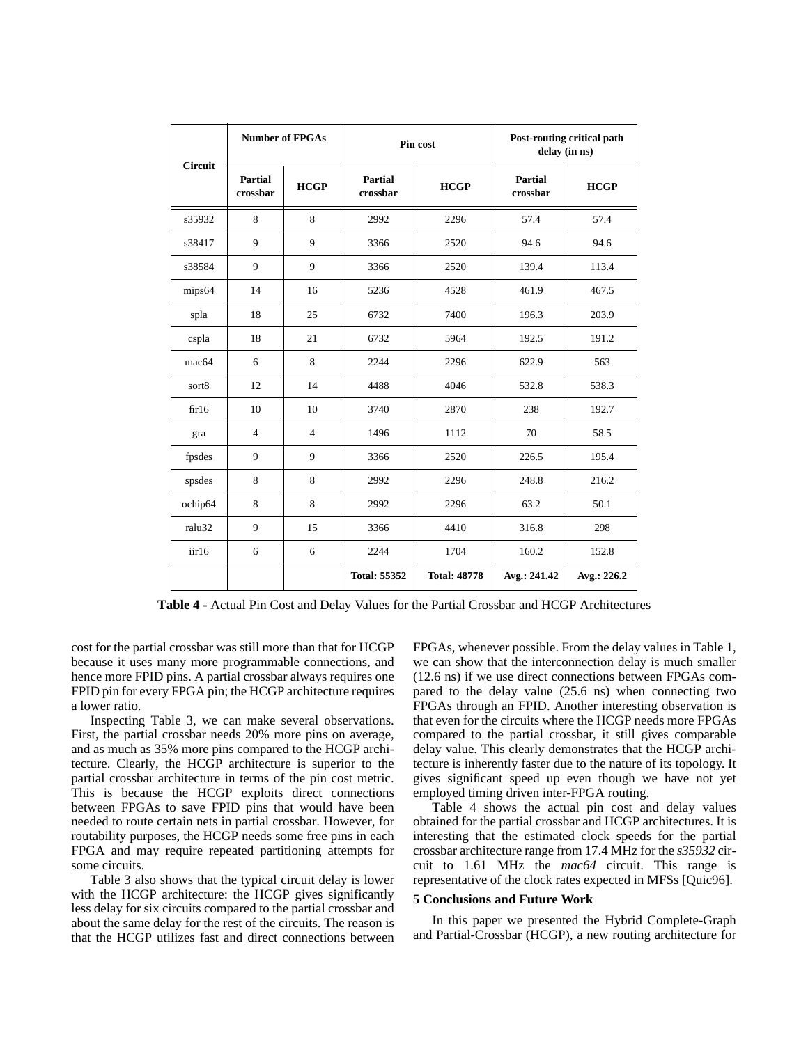| <b>Circuit</b>    | <b>Number of FPGAs</b> |                | Pin cost            |                     | Post-routing critical path<br>delay (in ns) |             |
|-------------------|------------------------|----------------|---------------------|---------------------|---------------------------------------------|-------------|
|                   | Partial<br>crossbar    | <b>HCGP</b>    | Partial<br>crossbar | <b>HCGP</b>         | Partial<br>crossbar                         | <b>HCGP</b> |
| s35932            | 8                      | 8              | 2992                | 2296                | 57.4                                        | 57.4        |
| s38417            | 9                      | 9              | 3366                | 2520                | 94.6                                        | 94.6        |
| s38584            | 9                      | 9              | 3366                | 2520                | 139.4                                       | 113.4       |
| mips64            | 14                     | 16             | 5236                | 4528                | 461.9                                       | 467.5       |
| spla              | 18                     | 25             | 6732                | 7400                | 196.3                                       | 203.9       |
| cspla             | 18                     | 21             | 6732                | 5964                | 192.5                                       | 191.2       |
| mac <sub>64</sub> | 6                      | 8              | 2244                | 2296                | 622.9                                       | 563         |
| sort8             | 12                     | 14             | 4488                | 4046                | 532.8                                       | 538.3       |
| fir16             | 10                     | 10             | 3740                | 2870                | 238                                         | 192.7       |
| gra               | $\overline{4}$         | $\overline{4}$ | 1496                | 1112                | 70                                          | 58.5        |
| fpsdes            | 9                      | 9              | 3366                | 2520                | 226.5                                       | 195.4       |
| spsdes            | 8                      | 8              | 2992                | 2296                | 248.8                                       | 216.2       |
| ochip64           | 8                      | 8              | 2992                | 2296                | 63.2                                        | 50.1        |
| ralu32            | 9                      | 15             | 3366                | 4410                | 316.8                                       | 298         |
| iir16             | 6                      | 6              | 2244                | 1704                | 160.2                                       | 152.8       |
|                   |                        |                | <b>Total: 55352</b> | <b>Total: 48778</b> | Avg.: 241.42                                | Avg.: 226.2 |

**Table 4 -** Actual Pin Cost and Delay Values for the Partial Crossbar and HCGP Architectures

cost for the partial crossbar was still more than that for HCGP because it uses many more programmable connections, and hence more FPID pins. A partial crossbar always requires one FPID pin for every FPGA pin; the HCGP architecture requires a lower ratio.

Inspecting Table 3, we can make several observations. First, the partial crossbar needs 20% more pins on average, and as much as 35% more pins compared to the HCGP architecture. Clearly, the HCGP architecture is superior to the partial crossbar architecture in terms of the pin cost metric. This is because the HCGP exploits direct connections between FPGAs to save FPID pins that would have been needed to route certain nets in partial crossbar. However, for routability purposes, the HCGP needs some free pins in each FPGA and may require repeated partitioning attempts for some circuits.

Table 3 also shows that the typical circuit delay is lower with the HCGP architecture: the HCGP gives significantly less delay for six circuits compared to the partial crossbar and about the same delay for the rest of the circuits. The reason is that the HCGP utilizes fast and direct connections between

FPGAs, whenever possible. From the delay values in Table 1, we can show that the interconnection delay is much smaller (12.6 ns) if we use direct connections between FPGAs compared to the delay value (25.6 ns) when connecting two FPGAs through an FPID. Another interesting observation is that even for the circuits where the HCGP needs more FPGAs compared to the partial crossbar, it still gives comparable delay value. This clearly demonstrates that the HCGP architecture is inherently faster due to the nature of its topology. It gives significant speed up even though we have not yet employed timing driven inter-FPGA routing.

Table 4 shows the actual pin cost and delay values obtained for the partial crossbar and HCGP architectures. It is interesting that the estimated clock speeds for the partial crossbar architecture range from 17.4 MHz for the *s35932* circuit to 1.61 MHz the *mac64* circuit. This range is representative of the clock rates expected in MFSs [Quic96].

## **5 Conclusions and Future Work**

In this paper we presented the Hybrid Complete-Graph and Partial-Crossbar (HCGP), a new routing architecture for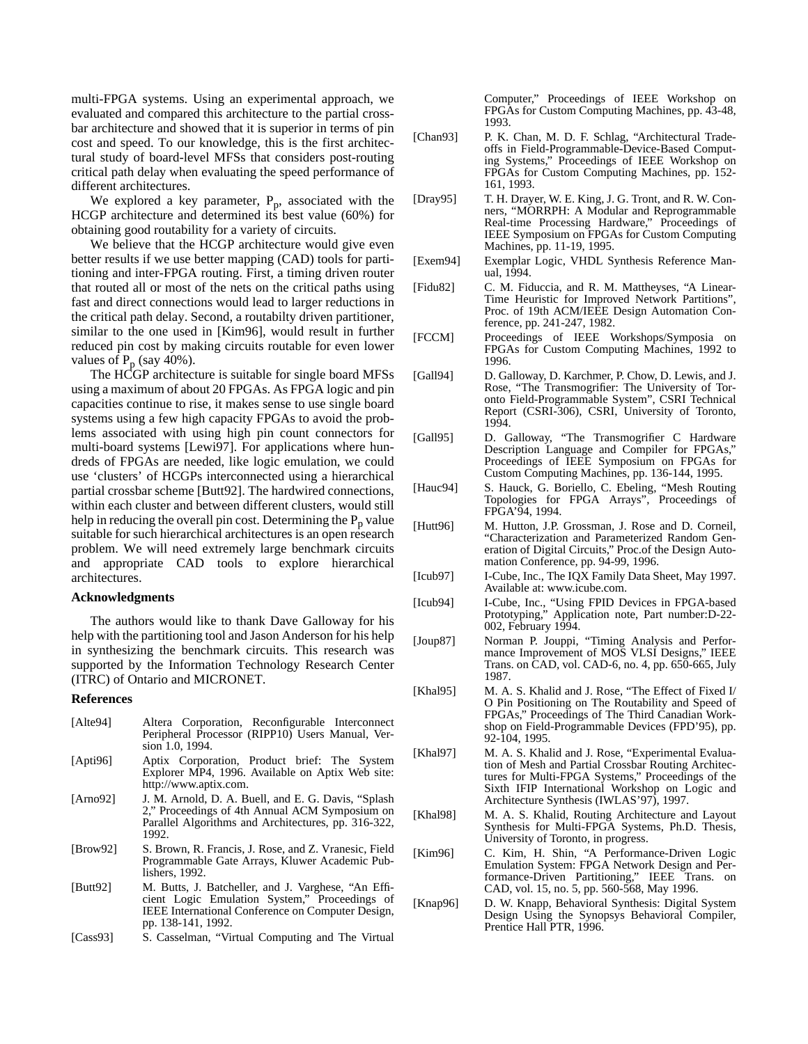multi-FPGA systems. Using an experimental approach, we evaluated and compared this architecture to the partial crossbar architecture and showed that it is superior in terms of pin cost and speed. To our knowledge, this is the first architectural study of board-level MFSs that considers post-routing critical path delay when evaluating the speed performance of different architectures.

We explored a key parameter,  $P_p$ , associated with the HCGP architecture and determined its best value (60%) for obtaining good routability for a variety of circuits.

We believe that the HCGP architecture would give even better results if we use better mapping (CAD) tools for partitioning and inter-FPGA routing. First, a timing driven router that routed all or most of the nets on the critical paths using fast and direct connections would lead to larger reductions in the critical path delay. Second, a routabilty driven partitioner, similar to the one used in [Kim96], would result in further reduced pin cost by making circuits routable for even lower values of  $P_p$  (say 40%).

The HCGP architecture is suitable for single board MFSs using a maximum of about 20 FPGAs. As FPGA logic and pin capacities continue to rise, it makes sense to use single board systems using a few high capacity FPGAs to avoid the problems associated with using high pin count connectors for multi-board systems [Lewi97]. For applications where hundreds of FPGAs are needed, like logic emulation, we could use 'clusters' of HCGPs interconnected using a hierarchical partial crossbar scheme [Butt92]. The hardwired connections, within each cluster and between different clusters, would still help in reducing the overall pin cost. Determining the  $P_p$  value suitable for such hierarchical architectures is an open research problem. We will need extremely large benchmark circuits and appropriate CAD tools to explore hierarchical architectures.

#### **Acknowledgments**

The authors would like to thank Dave Galloway for his help with the partitioning tool and Jason Anderson for his help in synthesizing the benchmark circuits. This research was supported by the Information Technology Research Center (ITRC) of Ontario and MICRONET.

#### **References**

- [Alte94] Altera Corporation, Reconfigurable Interconnect Peripheral Processor (RIPP10) Users Manual, Version 1.0, 1994.
- [Apti96] Aptix Corporation, Product brief: The System Explorer MP4, 1996. Available on Aptix Web site: http://www.aptix.com.
- [Arno92] J. M. Arnold, D. A. Buell, and E. G. Davis, "Splash 2," Proceedings of 4th Annual ACM Symposium on Parallel Algorithms and Architectures, pp. 316-322, 1992.
- [Brow92] S. Brown, R. Francis, J. Rose, and Z. Vranesic, Field Programmable Gate Arrays, Kluwer Academic Publishers, 1992.
- [Butt92] M. Butts, J. Batcheller, and J. Varghese, "An Efficient Logic Emulation System," Proceedings of IEEE International Conference on Computer Design, pp. 138-141, 1992.
- [Cass93] S. Casselman, "Virtual Computing and The Virtual

Computer," Proceedings of IEEE Workshop on FPGAs for Custom Computing Machines, pp. 43-48, 1993.

- [Chan93] P. K. Chan, M. D. F. Schlag, "Architectural Tradeoffs in Field-Programmable-Device-Based Computing Systems," Proceedings of IEEE Workshop on FPGAs for Custom Computing Machines, pp. 152- 161, 1993.
- [Dray95] T. H. Drayer, W. E. King, J. G. Tront, and R. W. Conners, "MORRPH: A Modular and Reprogrammable Real-time Processing Hardware," Proceedings of IEEE Symposium on FPGAs for Custom Computing Machines, pp. 11-19, 1995.
- [Exem94] Exemplar Logic, VHDL Synthesis Reference Manual, 1994.
- [Fidu82] C. M. Fiduccia, and R. M. Mattheyses, "A Linear-Time Heuristic for Improved Network Partitions", Proc. of 19th ACM/IEEE Design Automation Conference, pp. 241-247, 1982.
- [FCCM] Proceedings of IEEE Workshops/Symposia on FPGAs for Custom Computing Machines, 1992 to 1996.
- [Gall94] D. Galloway, D. Karchmer, P. Chow, D. Lewis, and J. Rose, "The Transmogrifier: The University of Toronto Field-Programmable System", CSRI Technical Report (CSRI-306), CSRI, University of Toronto, 1994.
- [Gall95] D. Galloway, "The Transmogrifier C Hardware Description Language and Compiler for FPGAs," Proceedings of IEEE Symposium on FPGAs for Custom Computing Machines, pp. 136-144, 1995.
- [Hauc94] S. Hauck, G. Boriello, C. Ebeling, "Mesh Routing Topologies for FPGA Arrays", Proceedings of FPGA'94, 1994.
- [Hutt96] M. Hutton, J.P. Grossman, J. Rose and D. Corneil, "Characterization and Parameterized Random Generation of Digital Circuits," Proc.of the Design Automation Conference, pp. 94-99, 1996.
- [Icub97] I-Cube, Inc., The IQX Family Data Sheet, May 1997. Available at: www.icube.com.
- [Icub94] I-Cube, Inc., "Using FPID Devices in FPGA-based Prototyping," Application note, Part number:D-22- 002, February 1994.
- [Joup87] Norman P. Jouppi, "Timing Analysis and Performance Improvement of MOS VLSI Designs," IEEE Trans. on CAD, vol. CAD-6, no. 4, pp. 650-665, July 1987.
- [Khal95] M. A. S. Khalid and J. Rose, "The Effect of Fixed I/ O Pin Positioning on The Routability and Speed of FPGAs," Proceedings of The Third Canadian Workshop on Field-Programmable Devices (FPD'95), pp. 92-104, 1995.
- [Khal97] M. A. S. Khalid and J. Rose, "Experimental Evaluation of Mesh and Partial Crossbar Routing Architectures for Multi-FPGA Systems," Proceedings of the Sixth IFIP International Workshop on Logic and Architecture Synthesis (IWLAS'97), 1997.
- [Khal98] M. A. S. Khalid, Routing Architecture and Layout Synthesis for Multi-FPGA Systems, Ph.D. Thesis, University of Toronto, in progress.
- [Kim96] C. Kim, H. Shin, "A Performance-Driven Logic Emulation System: FPGA Network Design and Performance-Driven Partitioning," IEEE Trans. on CAD, vol. 15, no. 5, pp. 560-568, May 1996.
- [Knap96] D. W. Knapp, Behavioral Synthesis: Digital System Design Using the Synopsys Behavioral Compiler, Prentice Hall PTR, 1996.